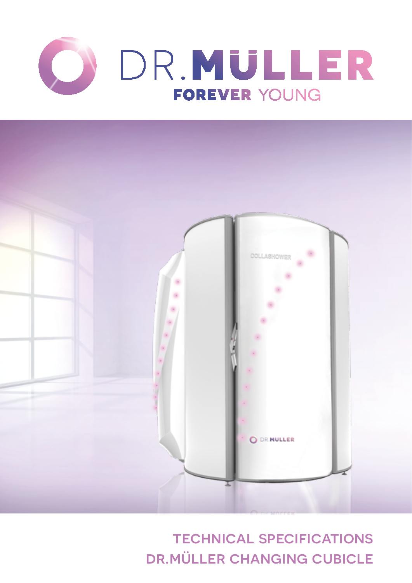



technical specifications dr.müller changing cubicle